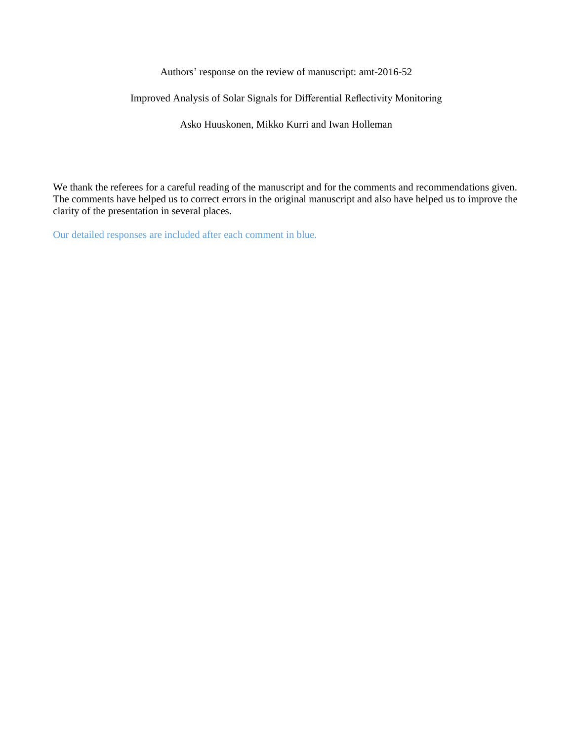Authors' response on the review of manuscript: amt-2016-52

Improved Analysis of Solar Signals for Differential Reflectivity Monitoring

Asko Huuskonen, Mikko Kurri and Iwan Holleman

We thank the referees for a careful reading of the manuscript and for the comments and recommendations given. The comments have helped us to correct errors in the original manuscript and also have helped us to improve the clarity of the presentation in several places.

Our detailed responses are included after each comment in blue.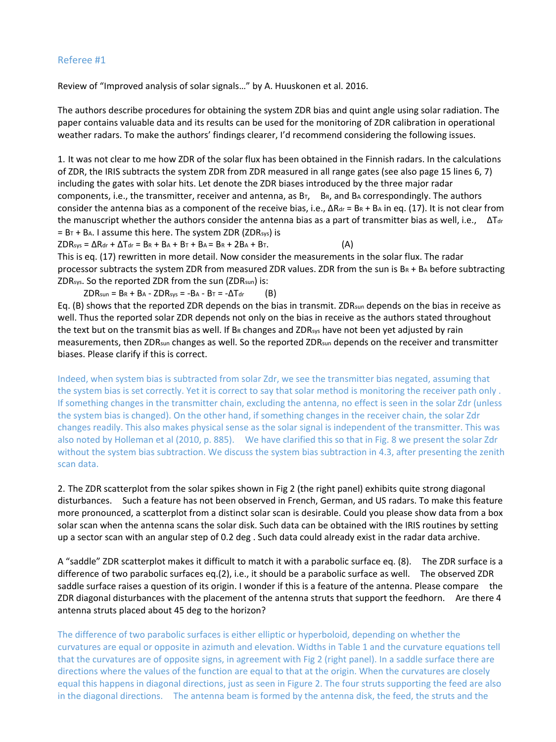Review of "Improved analysis of solar signals…" by A. Huuskonen et al. 2016.

The authors describe procedures for obtaining the system ZDR bias and quint angle using solar radiation. The paper contains valuable data and its results can be used for the monitoring of ZDR calibration in operational weather radars. To make the authors' findings clearer, I'd recommend considering the following issues.

1. It was not clear to me how ZDR of the solar flux has been obtained in the Finnish radars. In the calculations of ZDR, the IRIS subtracts the system ZDR from ZDR measured in all range gates (see also page 15 lines 6, 7) including the gates with solar hits. Let denote the ZDR biases introduced by the three major radar components, i.e., the transmitter, receiver and antenna, as  $B_T$ ,  $B_R$ , and  $B_A$  correspondingly. The authors consider the antenna bias as a component of the receive bias, i.e.,  $\Delta R_{dr} = B_R + B_A$  in eq. (17). It is not clear from the manuscript whether the authors consider the antenna bias as a part of transmitter bias as well, i.e.,  $\Delta T_{dr}$  $= B_T + B_A$ . I assume this here. The system ZDR (ZDR<sub>sys</sub>) is

 $ZDR_{sys} = \Delta R_{dr} + \Delta T_{dr} = B_R + B_A + B_T + B_A = B_R + 2B_A + B_T.$  (A) This is eq. (17) rewritten in more detail. Now consider the measurements in the solar flux. The radar processor subtracts the system ZDR from measured ZDR values. ZDR from the sun is  $B_R + B_A$  before subtracting ZDRsys. So the reported ZDR from the sun (ZDRsun) is:

 $ZDR_{sun} = BR + BA - ZDR_{sys} = -BA - BT = -\Delta T_{dr}$  (B)

Eq. (B) shows that the reported ZDR depends on the bias in transmit. ZDRsun depends on the bias in receive as well. Thus the reported solar ZDR depends not only on the bias in receive as the authors stated throughout the text but on the transmit bias as well. If BR changes and ZDR<sub>sys</sub> have not been yet adjusted by rain measurements, then ZDRsun changes as well. So the reported ZDRsun depends on the receiver and transmitter biases. Please clarify if this is correct.

Indeed, when system bias is subtracted from solar Zdr, we see the transmitter bias negated, assuming that the system bias is set correctly. Yet it is correct to say that solar method is monitoring the receiver path only . If something changes in the transmitter chain, excluding the antenna, no effect is seen in the solar Zdr (unless the system bias is changed). On the other hand, if something changes in the receiver chain, the solar Zdr changes readily. This also makes physical sense as the solar signal is independent of the transmitter. This was also noted by Holleman et al (2010, p. 885). We have clarified this so that in Fig. 8 we present the solar Zdr without the system bias subtraction. We discuss the system bias subtraction in 4.3, after presenting the zenith scan data.

2. The ZDR scatterplot from the solar spikes shown in Fig 2 (the right panel) exhibits quite strong diagonal disturbances. Such a feature has not been observed in French, German, and US radars. To make this feature more pronounced, a scatterplot from a distinct solar scan is desirable. Could you please show data from a box solar scan when the antenna scans the solar disk. Such data can be obtained with the IRIS routines by setting up a sector scan with an angular step of 0.2 deg . Such data could already exist in the radar data archive.

A "saddle" ZDR scatterplot makes it difficult to match it with a parabolic surface eq. (8). The ZDR surface is a difference of two parabolic surfaces eq.(2), i.e., it should be a parabolic surface as well. The observed ZDR saddle surface raises a question of its origin. I wonder if this is a feature of the antenna. Please compare the ZDR diagonal disturbances with the placement of the antenna struts that support the feedhorn. Are there 4 antenna struts placed about 45 deg to the horizon?

The difference of two parabolic surfaces is either elliptic or hyperboloid, depending on whether the curvatures are equal or opposite in azimuth and elevation. Widths in Table 1 and the curvature equations tell that the curvatures are of opposite signs, in agreement with Fig 2 (right panel). In a saddle surface there are directions where the values of the function are equal to that at the origin. When the curvatures are closely equal this happens in diagonal directions, just as seen in Figure 2. The four struts supporting the feed are also in the diagonal directions. The antenna beam is formed by the antenna disk, the feed, the struts and the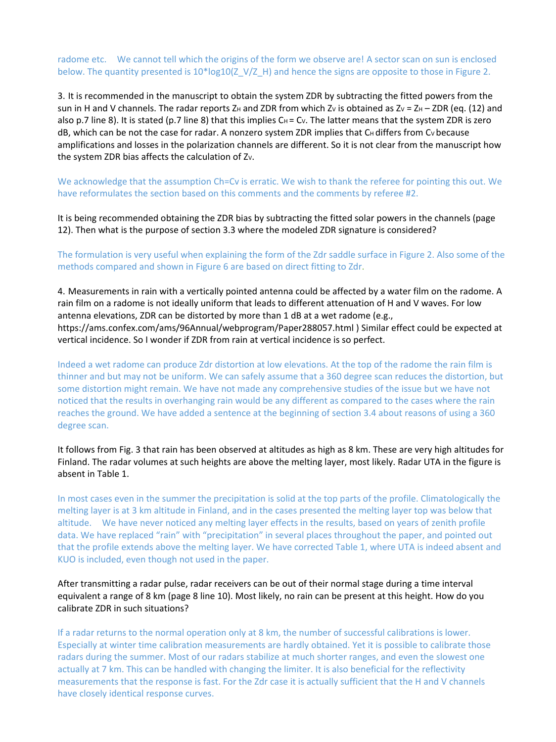radome etc. We cannot tell which the origins of the form we observe are! A sector scan on sun is enclosed below. The quantity presented is  $10^*$ log10(Z\_V/Z\_H) and hence the signs are opposite to those in Figure 2.

3. It is recommended in the manuscript to obtain the system ZDR by subtracting the fitted powers from the sun in H and V channels. The radar reports Z<sub>H</sub> and ZDR from which Zv is obtained as Zv = ZH – ZDR (eq. (12) and also p.7 line 8). It is stated (p.7 line 8) that this implies  $Ch = Cv$ . The latter means that the system ZDR is zero dB, which can be not the case for radar. A nonzero system ZDR implies that CH differs from Cv because amplifications and losses in the polarization channels are different. So it is not clear from the manuscript how the system ZDR bias affects the calculation of Zv.

We acknowledge that the assumption Ch=Cv is erratic. We wish to thank the referee for pointing this out. We have reformulates the section based on this comments and the comments by referee #2.

It is being recommended obtaining the ZDR bias by subtracting the fitted solar powers in the channels (page 12). Then what is the purpose of section 3.3 where the modeled ZDR signature is considered?

The formulation is very useful when explaining the form of the Zdr saddle surface in Figure 2. Also some of the methods compared and shown in Figure 6 are based on direct fitting to Zdr.

4. Measurements in rain with a vertically pointed antenna could be affected by a water film on the radome. A rain film on a radome is not ideally uniform that leads to different attenuation of H and V waves. For low antenna elevations, ZDR can be distorted by more than 1 dB at a wet radome (e.g., https://ams.confex.com/ams/96Annual/webprogram/Paper288057.html ) Similar effect could be expected at vertical incidence. So I wonder if ZDR from rain at vertical incidence is so perfect.

Indeed a wet radome can produce Zdr distortion at low elevations. At the top of the radome the rain film is thinner and but may not be uniform. We can safely assume that a 360 degree scan reduces the distortion, but some distortion might remain. We have not made any comprehensive studies of the issue but we have not noticed that the results in overhanging rain would be any different as compared to the cases where the rain reaches the ground. We have added a sentence at the beginning of section 3.4 about reasons of using a 360 degree scan.

It follows from Fig. 3 that rain has been observed at altitudes as high as 8 km. These are very high altitudes for Finland. The radar volumes at such heights are above the melting layer, most likely. Radar UTA in the figure is absent in Table 1.

In most cases even in the summer the precipitation is solid at the top parts of the profile. Climatologically the melting layer is at 3 km altitude in Finland, and in the cases presented the melting layer top was below that altitude. We have never noticed any melting layer effects in the results, based on years of zenith profile data. We have replaced "rain" with "precipitation" in several places throughout the paper, and pointed out that the profile extends above the melting layer. We have corrected Table 1, where UTA is indeed absent and KUO is included, even though not used in the paper.

After transmitting a radar pulse, radar receivers can be out of their normal stage during a time interval equivalent a range of 8 km (page 8 line 10). Most likely, no rain can be present at this height. How do you calibrate ZDR in such situations?

If a radar returns to the normal operation only at 8 km, the number of successful calibrations is lower. Especially at winter time calibration measurements are hardly obtained. Yet it is possible to calibrate those radars during the summer. Most of our radars stabilize at much shorter ranges, and even the slowest one actually at 7 km. This can be handled with changing the limiter. It is also beneficial for the reflectivity measurements that the response is fast. For the Zdr case it is actually sufficient that the H and V channels have closely identical response curves.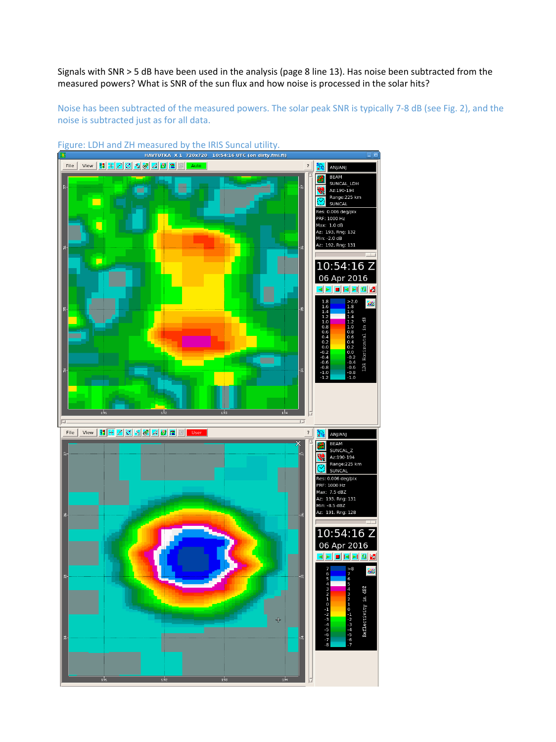Signals with SNR > 5 dB have been used in the analysis (page 8 line 13). Has noise been subtracted from the measured powers? What is SNR of the sun flux and how noise is processed in the solar hits?

Noise has been subtracted of the measured powers. The solar peak SNR is typically 7-8 dB (see Fig. 2), and the noise is subtracted just as for all data.

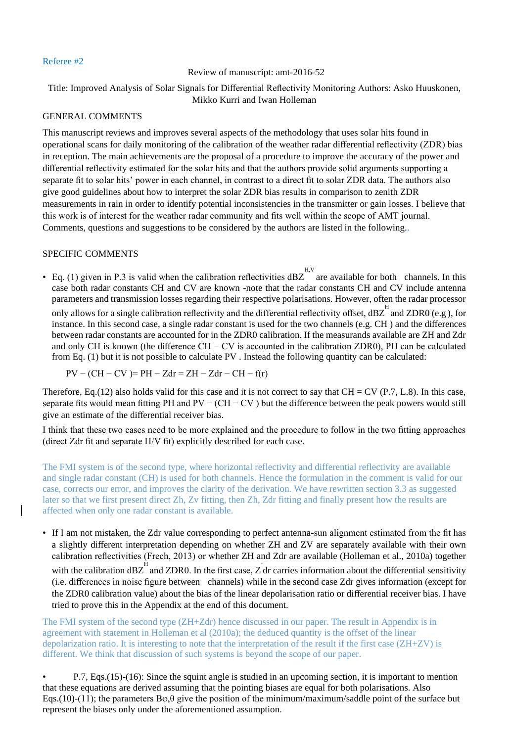## Review of manuscript: amt-2016-52

# Title: Improved Analysis of Solar Signals for Differential Reflectivity Monitoring Authors: Asko Huuskonen, Mikko Kurri and Iwan Holleman

## GENERAL COMMENTS

This manuscript reviews and improves several aspects of the methodology that uses solar hits found in operational scans for daily monitoring of the calibration of the weather radar differential reflectivity (ZDR) bias in reception. The main achievements are the proposal of a procedure to improve the accuracy of the power and differential reflectivity estimated for the solar hits and that the authors provide solid arguments supporting a separate fit to solar hits' power in each channel, in contrast to a direct fit to solar ZDR data. The authors also give good guidelines about how to interpret the solar ZDR bias results in comparison to zenith ZDR measurements in rain in order to identify potential inconsistencies in the transmitter or gain losses. I believe that this work is of interest for the weather radar community and fits well within the scope of AMT journal. Comments, questions and suggestions to be considered by the authors are listed in the following..

# SPECIFIC COMMENTS

• Eq. (1) given in P.3 is valid when the calibration reflectivities  $dBZ$  are available for both channels. In this case both radar constants CH and CV are known -note that the radar constants CH and CV include antenna parameters and transmission losses regarding their respective polarisations. However, often the radar processor only allows for a single calibration reflectivity and the differential reflectivity offset,  $dBZ^H$  and ZDR0 (e.g), for instance. In this second case, a single radar constant is used for the two channels (e.g. CH ) and the differences between radar constants are accounted for in the ZDR0 calibration. If the measurands available are ZH and Zdr and only CH is known (the difference CH − CV is accounted in the calibration ZDR0), PH can be calculated from Eq. (1) but it is not possible to calculate PV . Instead the following quantity can be calculated:

$$
PV - (CH - CV) = PH - Zdr = ZH - Zdr - CH - f(r)
$$

Therefore, Eq.(12) also holds valid for this case and it is not correct to say that  $CH = CV$  (P.7, L.8). In this case, separate fits would mean fitting PH and PV – (CH – CV) but the difference between the peak powers would still give an estimate of the differential receiver bias.

I think that these two cases need to be more explained and the procedure to follow in the two fitting approaches (direct Zdr fit and separate H/V fit) explicitly described for each case.

The FMI system is of the second type, where horizontal reflectivity and differential reflectivity are available and single radar constant (CH) is used for both channels. Hence the formulation in the comment is valid for our case, corrects our error, and improves the clarity of the derivation. We have rewritten section 3.3 as suggested later so that we first present direct Zh, Zv fitting, then Zh, Zdr fitting and finally present how the results are affected when only one radar constant is available.

• If I am not mistaken, the Zdr value corresponding to perfect antenna-sun alignment estimated from the fit has a slightly different interpretation depending on whether ZH and ZV are separately available with their own calibration reflectivities (Frech, 2013) or whether ZH and Zdr are available (Holleman et al., 2010a) together with the calibration dBZ<sup>H</sup> and ZDR0. In the first case,  $\overrightarrow{Z}$  dr carries information about the differential sensitivity (i.e. differences in noise figure between channels) while in the second case Zdr gives information (except for the ZDR0 calibration value) about the bias of the linear depolarisation ratio or differential receiver bias. I have tried to prove this in the Appendix at the end of this document.

The FMI system of the second type (ZH+Zdr) hence discussed in our paper. The result in Appendix is in agreement with statement in Holleman et al (2010a); the deduced quantity is the offset of the linear depolarization ratio. It is interesting to note that the interpretation of the result if the first case (ZH+ZV) is different. We think that discussion of such systems is beyond the scope of our paper.

• P.7, Eqs.(15)-(16): Since the squint angle is studied in an upcoming section, it is important to mention that these equations are derived assuming that the pointing biases are equal for both polarisations. Also Eqs.(10)-(11); the parameters  $B\varphi, \theta$  give the position of the minimum/maximum/saddle point of the surface but represent the biases only under the aforementioned assumption.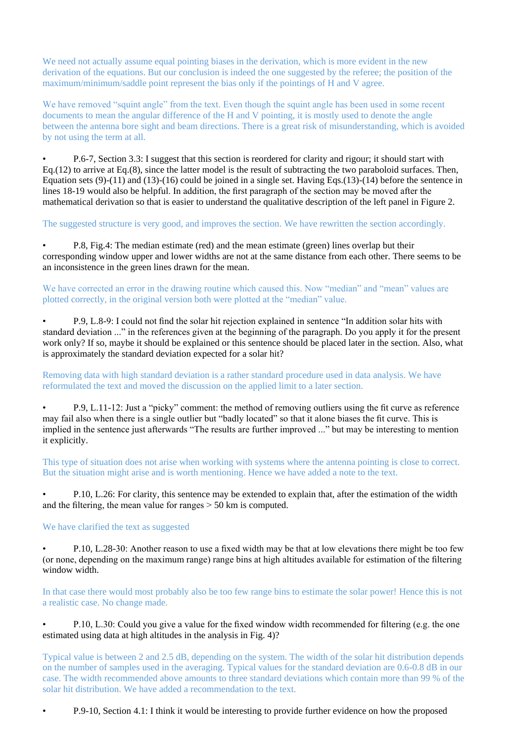We need not actually assume equal pointing biases in the derivation, which is more evident in the new derivation of the equations. But our conclusion is indeed the one suggested by the referee; the position of the maximum/minimum/saddle point represent the bias only if the pointings of H and V agree.

We have removed "squint angle" from the text. Even though the squint angle has been used in some recent documents to mean the angular difference of the H and V pointing, it is mostly used to denote the angle between the antenna bore sight and beam directions. There is a great risk of misunderstanding, which is avoided by not using the term at all.

• P.6-7, Section 3.3: I suggest that this section is reordered for clarity and rigour; it should start with Eq.(12) to arrive at Eq.(8), since the latter model is the result of subtracting the two paraboloid surfaces. Then, Equation sets (9)-(11) and (13)-(16) could be joined in a single set. Having Eqs.(13)-(14) before the sentence in lines 18-19 would also be helpful. In addition, the first paragraph of the section may be moved after the mathematical derivation so that is easier to understand the qualitative description of the left panel in Figure 2.

The suggested structure is very good, and improves the section. We have rewritten the section accordingly.

• P.8, Fig.4: The median estimate (red) and the mean estimate (green) lines overlap but their corresponding window upper and lower widths are not at the same distance from each other. There seems to be an inconsistence in the green lines drawn for the mean.

We have corrected an error in the drawing routine which caused this. Now "median" and "mean" values are plotted correctly, in the original version both were plotted at the "median" value.

• P.9, L.8-9: I could not find the solar hit rejection explained in sentence "In addition solar hits with standard deviation ..." in the references given at the beginning of the paragraph. Do you apply it for the present work only? If so, maybe it should be explained or this sentence should be placed later in the section. Also, what is approximately the standard deviation expected for a solar hit?

Removing data with high standard deviation is a rather standard procedure used in data analysis. We have reformulated the text and moved the discussion on the applied limit to a later section.

• P.9, L.11-12: Just a "picky" comment: the method of removing outliers using the fit curve as reference may fail also when there is a single outlier but "badly located" so that it alone biases the fit curve. This is implied in the sentence just afterwards "The results are further improved ..." but may be interesting to mention it explicitly.

This type of situation does not arise when working with systems where the antenna pointing is close to correct. But the situation might arise and is worth mentioning. Hence we have added a note to the text.

• P.10, L.26: For clarity, this sentence may be extended to explain that, after the estimation of the width and the filtering, the mean value for ranges > 50 km is computed.

### We have clarified the text as suggested

• P.10, L.28-30: Another reason to use a fixed width may be that at low elevations there might be too few (or none, depending on the maximum range) range bins at high altitudes available for estimation of the filtering window width.

In that case there would most probably also be too few range bins to estimate the solar power! Hence this is not a realistic case. No change made.

• P.10, L.30: Could you give a value for the fixed window width recommended for filtering (e.g. the one estimated using data at high altitudes in the analysis in Fig. 4)?

Typical value is between 2 and 2.5 dB, depending on the system. The width of the solar hit distribution depends on the number of samples used in the averaging. Typical values for the standard deviation are 0.6-0.8 dB in our case. The width recommended above amounts to three standard deviations which contain more than 99 % of the solar hit distribution. We have added a recommendation to the text.

• P.9-10, Section 4.1: I think it would be interesting to provide further evidence on how the proposed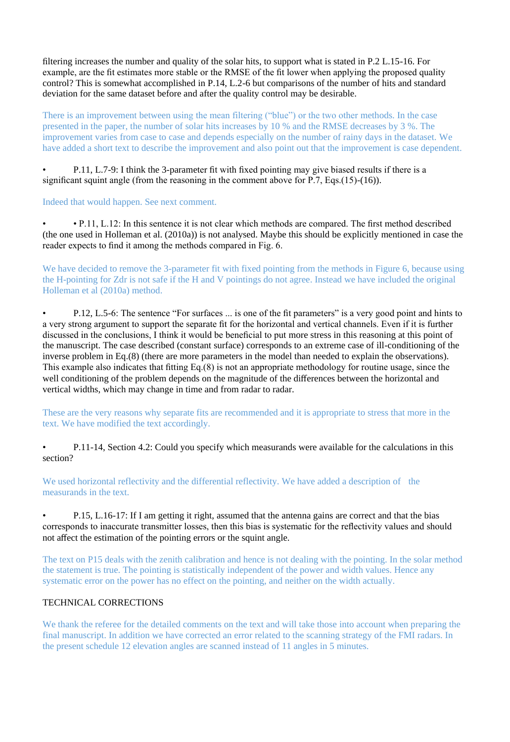filtering increases the number and quality of the solar hits, to support what is stated in P.2 L.15-16. For example, are the fit estimates more stable or the RMSE of the fit lower when applying the proposed quality control? This is somewhat accomplished in P.14, L.2-6 but comparisons of the number of hits and standard deviation for the same dataset before and after the quality control may be desirable.

There is an improvement between using the mean filtering ("blue") or the two other methods. In the case presented in the paper, the number of solar hits increases by 10 % and the RMSE decreases by 3 %. The improvement varies from case to case and depends especially on the number of rainy days in the dataset. We have added a short text to describe the improvement and also point out that the improvement is case dependent.

• P.11, L.7-9: I think the 3-parameter fit with fixed pointing may give biased results if there is a significant squint angle (from the reasoning in the comment above for P.7, Eqs.(15)-(16)).

Indeed that would happen. See next comment.

• • P.11, L.12: In this sentence it is not clear which methods are compared. The first method described (the one used in Holleman et al. (2010a)) is not analysed. Maybe this should be explicitly mentioned in case the reader expects to find it among the methods compared in Fig. 6.

We have decided to remove the 3-parameter fit with fixed pointing from the methods in Figure 6, because using the H-pointing for Zdr is not safe if the H and V pointings do not agree. Instead we have included the original Holleman et al (2010a) method.

• P.12, L.5-6: The sentence "For surfaces ... is one of the fit parameters" is a very good point and hints to a very strong argument to support the separate fit for the horizontal and vertical channels. Even if it is further discussed in the conclusions, I think it would be beneficial to put more stress in this reasoning at this point of the manuscript. The case described (constant surface) corresponds to an extreme case of ill-conditioning of the inverse problem in Eq.(8) (there are more parameters in the model than needed to explain the observations). This example also indicates that fitting Eq.(8) is not an appropriate methodology for routine usage, since the well conditioning of the problem depends on the magnitude of the differences between the horizontal and vertical widths, which may change in time and from radar to radar.

These are the very reasons why separate fits are recommended and it is appropriate to stress that more in the text. We have modified the text accordingly.

• P.11-14, Section 4.2: Could you specify which measurands were available for the calculations in this section?

We used horizontal reflectivity and the differential reflectivity. We have added a description of the measurands in the text.

• P.15, L.16-17: If I am getting it right, assumed that the antenna gains are correct and that the bias corresponds to inaccurate transmitter losses, then this bias is systematic for the reflectivity values and should not affect the estimation of the pointing errors or the squint angle.

The text on P15 deals with the zenith calibration and hence is not dealing with the pointing. In the solar method the statement is true. The pointing is statistically independent of the power and width values. Hence any systematic error on the power has no effect on the pointing, and neither on the width actually.

# TECHNICAL CORRECTIONS

We thank the referee for the detailed comments on the text and will take those into account when preparing the final manuscript. In addition we have corrected an error related to the scanning strategy of the FMI radars. In the present schedule 12 elevation angles are scanned instead of 11 angles in 5 minutes.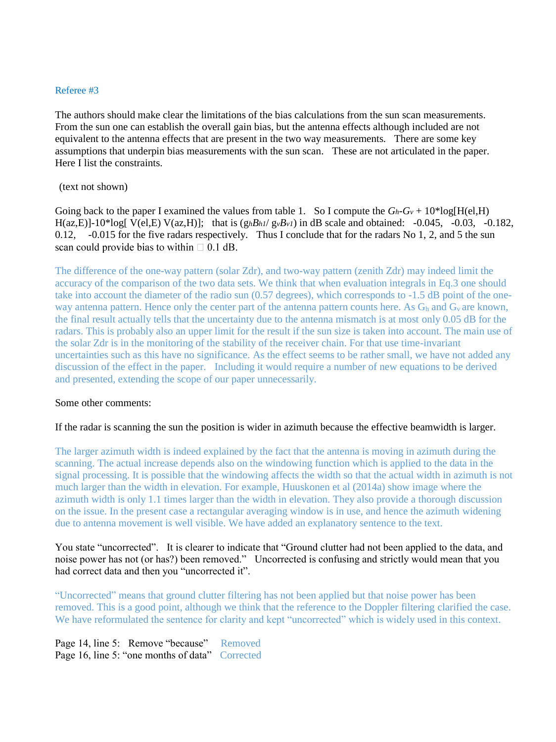The authors should make clear the limitations of the bias calculations from the sun scan measurements. From the sun one can establish the overall gain bias, but the antenna effects although included are not equivalent to the antenna effects that are present in the two way measurements. There are some key assumptions that underpin bias measurements with the sun scan. These are not articulated in the paper. Here I list the constraints.

#### (text not shown)

Going back to the paper I examined the values from table 1. So I compute the  $G_h - G_v + 10^* \log[H(e), H])$ H(az,E)]-10\*log[ V(el,E) V(az,H)]; that is  $(g_h B_h l / g_v B_v l)$  in dB scale and obtained: -0.045, -0.03, -0.182, 0.12, -0.015 for the five radars respectively. Thus I conclude that for the radars No 1, 2, and 5 the sun scan could provide bias to within  $\Box$  0.1 dB.

The difference of the one-way pattern (solar Zdr), and two-way pattern (zenith Zdr) may indeed limit the accuracy of the comparison of the two data sets. We think that when evaluation integrals in Eq.3 one should take into account the diameter of the radio sun (0.57 degrees), which corresponds to -1.5 dB point of the oneway antenna pattern. Hence only the center part of the antenna pattern counts here. As  $G_h$  and  $G_v$  are known, the final result actually tells that the uncertainty due to the antenna mismatch is at most only 0.05 dB for the radars. This is probably also an upper limit for the result if the sun size is taken into account. The main use of the solar Zdr is in the monitoring of the stability of the receiver chain. For that use time-invariant uncertainties such as this have no significance. As the effect seems to be rather small, we have not added any discussion of the effect in the paper. Including it would require a number of new equations to be derived and presented, extending the scope of our paper unnecessarily.

### Some other comments:

#### If the radar is scanning the sun the position is wider in azimuth because the effective beamwidth is larger.

The larger azimuth width is indeed explained by the fact that the antenna is moving in azimuth during the scanning. The actual increase depends also on the windowing function which is applied to the data in the signal processing. It is possible that the windowing affects the width so that the actual width in azimuth is not much larger than the width in elevation. For example, Huuskonen et al (2014a) show image where the azimuth width is only 1.1 times larger than the width in elevation. They also provide a thorough discussion on the issue. In the present case a rectangular averaging window is in use, and hence the azimuth widening due to antenna movement is well visible. We have added an explanatory sentence to the text.

You state "uncorrected". It is clearer to indicate that "Ground clutter had not been applied to the data, and noise power has not (or has?) been removed." Uncorrected is confusing and strictly would mean that you had correct data and then you "uncorrected it".

"Uncorrected" means that ground clutter filtering has not been applied but that noise power has been removed. This is a good point, although we think that the reference to the Doppler filtering clarified the case. We have reformulated the sentence for clarity and kept "uncorrected" which is widely used in this context.

Page 14, line 5: Remove "because" Removed Page 16, line 5: "one months of data" Corrected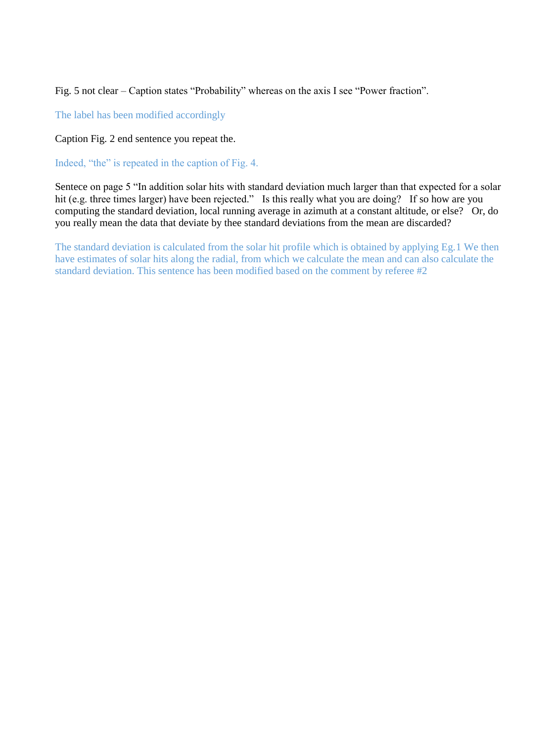Fig. 5 not clear – Caption states "Probability" whereas on the axis I see "Power fraction".

The label has been modified accordingly

Caption Fig. 2 end sentence you repeat the.

Indeed, "the" is repeated in the caption of Fig. 4.

Sentece on page 5 "In addition solar hits with standard deviation much larger than that expected for a solar hit (e.g. three times larger) have been rejected." Is this really what you are doing? If so how are you computing the standard deviation, local running average in azimuth at a constant altitude, or else? Or, do you really mean the data that deviate by thee standard deviations from the mean are discarded?

The standard deviation is calculated from the solar hit profile which is obtained by applying Eg.1 We then have estimates of solar hits along the radial, from which we calculate the mean and can also calculate the standard deviation. This sentence has been modified based on the comment by referee #2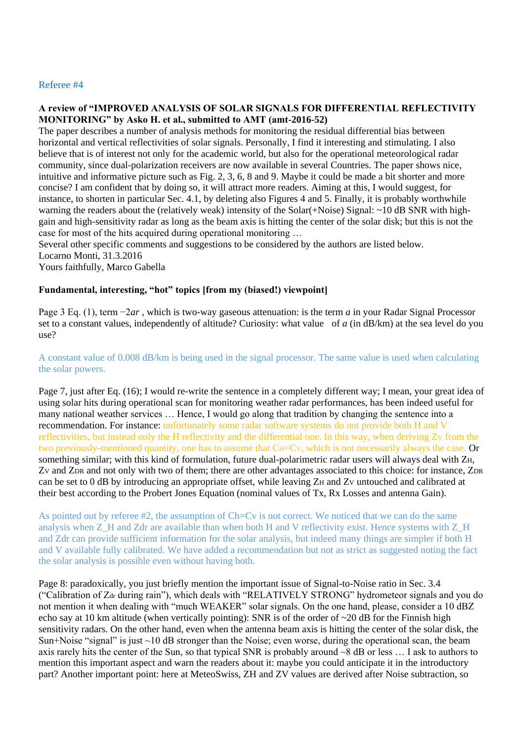## **A review of "IMPROVED ANALYSIS OF SOLAR SIGNALS FOR DIFFERENTIAL REFLECTIVITY MONITORING" by Asko H. et al., submitted to AMT (amt-2016-52)**

The paper describes a number of analysis methods for monitoring the residual differential bias between horizontal and vertical reflectivities of solar signals. Personally, I find it interesting and stimulating. I also believe that is of interest not only for the academic world, but also for the operational meteorological radar community, since dual-polarization receivers are now available in several Countries. The paper shows nice, intuitive and informative picture such as Fig. 2, 3, 6, 8 and 9. Maybe it could be made a bit shorter and more concise? I am confident that by doing so, it will attract more readers. Aiming at this, I would suggest, for instance, to shorten in particular Sec. 4.1, by deleting also Figures 4 and 5. Finally, it is probably worthwhile warning the readers about the (relatively weak) intensity of the Solar(+Noise) Signal: ~10 dB SNR with highgain and high-sensitivity radar as long as the beam axis is hitting the center of the solar disk; but this is not the case for most of the hits acquired during operational monitoring …

Several other specific comments and suggestions to be considered by the authors are listed below.

Locarno Monti, 31.3.2016

Yours faithfully, Marco Gabella

# **Fundamental, interesting, "hot" topics [from my (biased!) viewpoint]**

Page 3 Eq. (1), term −2*ar* , which is two-way gaseous attenuation: is the term *a* in your Radar Signal Processor set to a constant values, independently of altitude? Curiosity: what value of *a* (in dB/km) at the sea level do you use?

# A constant value of 0.008 dB/km is being used in the signal processor. The same value is used when calculating the solar powers.

Page 7, just after Eq. (16); I would re-write the sentence in a completely different way; I mean, your great idea of using solar hits during operational scan for monitoring weather radar performances, has been indeed useful for many national weather services … Hence, I would go along that tradition by changing the sentence into a recommendation. For instance: unfortunately some radar software systems do not provide both H and V reflectivities, but instead only the H reflectivity and the differential one. In this way, when deriving Zv from the two previously-mentioned quantity, one has to assume that C<sub>H</sub>=C<sub>V</sub>, which is not necessarily always the case. Or something similar; with this kind of formulation, future dual-polarimetric radar users will always deal with ZH, Zv and ZDR and not only with two of them; there are other advantages associated to this choice: for instance, ZDR can be set to 0 dB by introducing an appropriate offset, while leaving Z<sub>H</sub> and Z<sub>V</sub> untouched and calibrated at their best according to the Probert Jones Equation (nominal values of Tx, Rx Losses and antenna Gain).

As pointed out by referee #2, the assumption of Ch=Cv is not correct. We noticed that we can do the same analysis when Z\_H and Zdr are available than when both H and V reflectivity exist. Hence systems with Z\_H and Zdr can provide sufficient information for the solar analysis, but indeed many things are simpler if both H and V available fully calibrated. We have added a recommendation but not as strict as suggested noting the fact the solar analysis is possible even without having both.

Page 8: paradoxically, you just briefly mention the important issue of Signal-to-Noise ratio in Sec. 3.4 ("Calibration of Zdr during rain"), which deals with "RELATIVELY STRONG" hydrometeor signals and you do not mention it when dealing with "much WEAKER" solar signals. On the one hand, please, consider a 10 dBZ echo say at 10 km altitude (when vertically pointing): SNR is of the order of  $\sim$ 20 dB for the Finnish high sensitivity radars. On the other hand, even when the antenna beam axis is hitting the center of the solar disk, the Sun+Noise "signal" is just  $\sim$ 10 dB stronger than the Noise; even worse, during the operational scan, the beam axis rarely hits the center of the Sun, so that typical SNR is probably around ~8 dB or less … I ask to authors to mention this important aspect and warn the readers about it: maybe you could anticipate it in the introductory part? Another important point: here at MeteoSwiss, ZH and ZV values are derived after Noise subtraction, so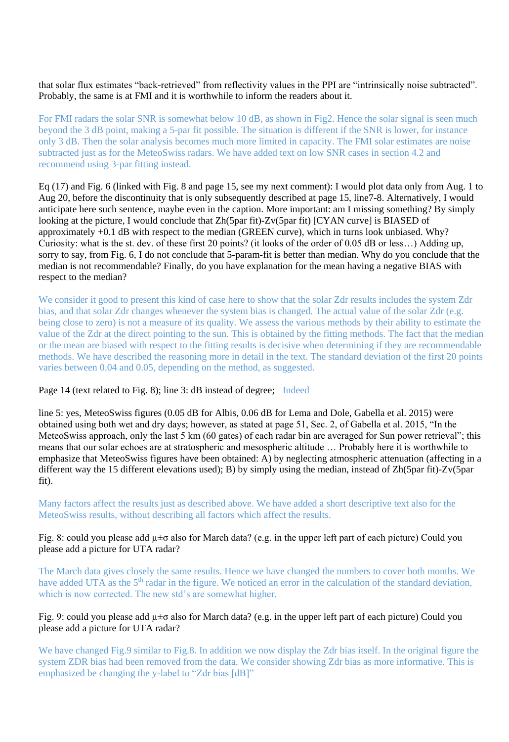that solar flux estimates "back-retrieved" from reflectivity values in the PPI are "intrinsically noise subtracted". Probably, the same is at FMI and it is worthwhile to inform the readers about it.

For FMI radars the solar SNR is somewhat below 10 dB, as shown in Fig2. Hence the solar signal is seen much beyond the 3 dB point, making a 5-par fit possible. The situation is different if the SNR is lower, for instance only 3 dB. Then the solar analysis becomes much more limited in capacity. The FMI solar estimates are noise subtracted just as for the MeteoSwiss radars. We have added text on low SNR cases in section 4.2 and recommend using 3-par fitting instead.

Eq (17) and Fig. 6 (linked with Fig. 8 and page 15, see my next comment): I would plot data only from Aug. 1 to Aug 20, before the discontinuity that is only subsequently described at page 15, line7-8. Alternatively, I would anticipate here such sentence, maybe even in the caption. More important: am I missing something? By simply looking at the picture, I would conclude that Zh(5par fit)-Zv(5par fit) [CYAN curve] is BIASED of approximately +0.1 dB with respect to the median (GREEN curve), which in turns look unbiased. Why? Curiosity: what is the st. dev. of these first 20 points? (it looks of the order of 0.05 dB or less…) Adding up, sorry to say, from Fig. 6, I do not conclude that 5-param-fit is better than median. Why do you conclude that the median is not recommendable? Finally, do you have explanation for the mean having a negative BIAS with respect to the median?

We consider it good to present this kind of case here to show that the solar Zdr results includes the system Zdr bias, and that solar Zdr changes whenever the system bias is changed. The actual value of the solar Zdr (e.g. being close to zero) is not a measure of its quality. We assess the various methods by their ability to estimate the value of the Zdr at the direct pointing to the sun. This is obtained by the fitting methods. The fact that the median or the mean are biased with respect to the fitting results is decisive when determining if they are recommendable methods. We have described the reasoning more in detail in the text. The standard deviation of the first 20 points varies between 0.04 and 0.05, depending on the method, as suggested.

Page 14 (text related to Fig. 8); line 3: dB instead of degree; Indeed

line 5: yes, MeteoSwiss figures (0.05 dB for Albis, 0.06 dB for Lema and Dole, Gabella et al. 2015) were obtained using both wet and dry days; however, as stated at page 51, Sec. 2, of Gabella et al. 2015, "In the MeteoSwiss approach, only the last 5 km (60 gates) of each radar bin are averaged for Sun power retrieval"; this means that our solar echoes are at stratospheric and mesospheric altitude … Probably here it is worthwhile to emphasize that MeteoSwiss figures have been obtained: A) by neglecting atmospheric attenuation (affecting in a different way the 15 different elevations used); B) by simply using the median, instead of Zh(5par fit)-Zv(5par fit).

Many factors affect the results just as described above. We have added a short descriptive text also for the MeteoSwiss results, without describing all factors which affect the results.

# Fig. 8: could you please add µ±σ also for March data? (e.g. in the upper left part of each picture) Could you please add a picture for UTA radar?

The March data gives closely the same results. Hence we have changed the numbers to cover both months. We have added UTA as the 5<sup>th</sup> radar in the figure. We noticed an error in the calculation of the standard deviation, which is now corrected. The new std's are somewhat higher.

# Fig. 9: could you please add µ±σ also for March data? (e.g. in the upper left part of each picture) Could you please add a picture for UTA radar?

We have changed Fig.9 similar to Fig.8. In addition we now display the Zdr bias itself. In the original figure the system ZDR bias had been removed from the data. We consider showing Zdr bias as more informative. This is emphasized be changing the y-label to "Zdr bias [dB]"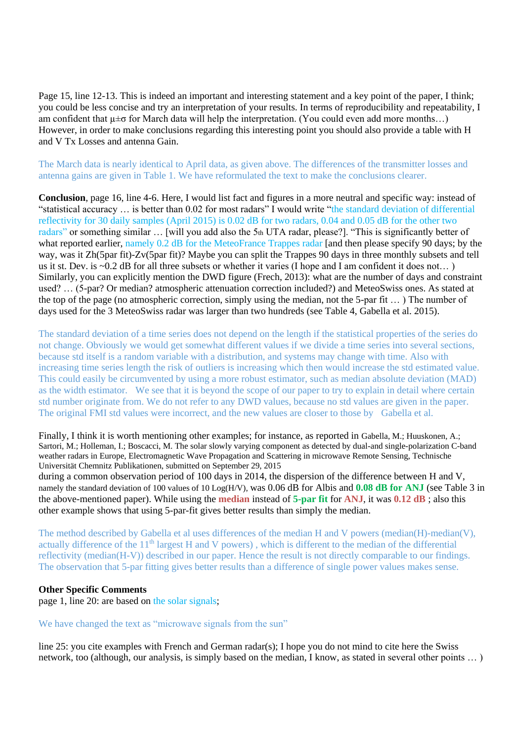Page 15, line 12-13. This is indeed an important and interesting statement and a key point of the paper, I think; you could be less concise and try an interpretation of your results. In terms of reproducibility and repeatability, I am confident that  $\mu \pm \sigma$  for March data will help the interpretation. (You could even add more months...) However, in order to make conclusions regarding this interesting point you should also provide a table with H and V Tx Losses and antenna Gain.

The March data is nearly identical to April data, as given above. The differences of the transmitter losses and antenna gains are given in Table 1. We have reformulated the text to make the conclusions clearer.

**Conclusion**, page 16, line 4-6. Here, I would list fact and figures in a more neutral and specific way: instead of "statistical accuracy … is better than 0.02 for most radars" I would write "the standard deviation of differential reflectivity for 30 daily samples (April 2015) is 0.02 dB for two radars, 0.04 and 0.05 dB for the other two radars" or something similar … [will you add also the 5th UTA radar, please?]. "This is significantly better of what reported earlier, namely 0.2 dB for the MeteoFrance Trappes radar [and then please specify 90 days; by the way, was it Zh(5par fit)-Zv(5par fit)? Maybe you can split the Trappes 90 days in three monthly subsets and tell us it st. Dev. is ~0.2 dB for all three subsets or whether it varies (I hope and I am confident it does not...) Similarly, you can explicitly mention the DWD figure (Frech, 2013): what are the number of days and constraint used? … (5-par? Or median? atmospheric attenuation correction included?) and MeteoSwiss ones. As stated at the top of the page (no atmospheric correction, simply using the median, not the 5-par fit … ) The number of days used for the 3 MeteoSwiss radar was larger than two hundreds (see Table 4, Gabella et al. 2015).

The standard deviation of a time series does not depend on the length if the statistical properties of the series do not change. Obviously we would get somewhat different values if we divide a time series into several sections, because std itself is a random variable with a distribution, and systems may change with time. Also with increasing time series length the risk of outliers is increasing which then would increase the std estimated value. This could easily be circumvented by using a more robust estimator, such as median absolute deviation (MAD) as the width estimator. We see that it is beyond the scope of our paper to try to explain in detail where certain std number originate from. We do not refer to any DWD values, because no std values are given in the paper. The original FMI std values were incorrect, and the new values are closer to those by Gabella et al.

Finally, I think it is worth mentioning other examples; for instance, as reported in Gabella, M.; Huuskonen, A.; Sartori, M.; Holleman, I.; Boscacci, M. The solar slowly varying component as detected by dual-and single-polarization C-band weather radars in Europe, Electromagnetic Wave Propagation and Scattering in microwave Remote Sensing, Technische Universität Chemnitz Publikationen, submitted on September 29, 2015

during a common observation period of 100 days in 2014, the dispersion of the difference between H and V, namely the standard deviation of 100 values of 10 Log(H/V), was 0.06 dB for Albis and **0.08 dB for ANJ** (see Table 3 in the above-mentioned paper). While using the **median** instead of **5-par fit** for **ANJ**, it was **0.12 dB** ; also this other example shows that using 5-par-fit gives better results than simply the median.

The method described by Gabella et al uses differences of the median H and V powers (median(H)-median(V), actually difference of the 11<sup>th</sup> largest H and V powers), which is different to the median of the differential reflectivity (median(H-V)) described in our paper. Hence the result is not directly comparable to our findings. The observation that 5-par fitting gives better results than a difference of single power values makes sense.

### **Other Specific Comments**

page 1, line 20: are based on the solar signals;

We have changed the text as "microwave signals from the sun"

line 25: you cite examples with French and German radar(s); I hope you do not mind to cite here the Swiss network, too (although, our analysis, is simply based on the median, I know, as stated in several other points … )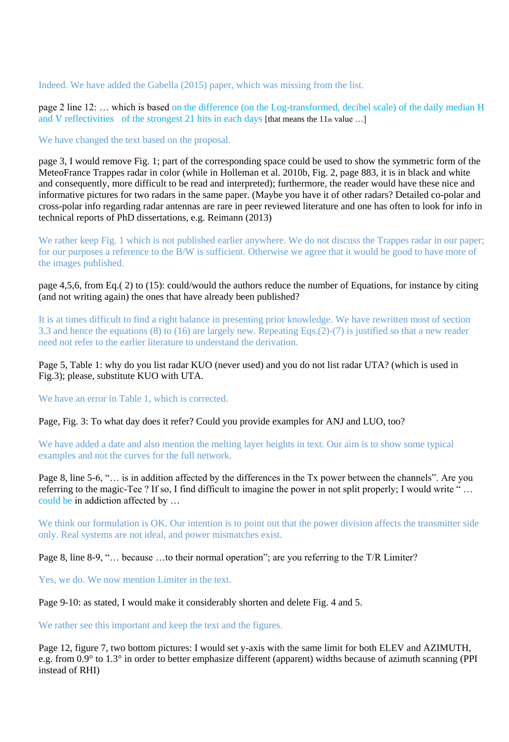Indeed. We have added the Gabella (2015) paper, which was missing from the list.

page 2 line 12: … which is based on the difference (on the Log-transformed, decibel scale) of the daily median H and V reflectivities of the strongest 21 hits in each days [that means the 11<sup>th</sup> value ...]

We have changed the text based on the proposal.

page 3, I would remove Fig. 1; part of the corresponding space could be used to show the symmetric form of the MeteoFrance Trappes radar in color (while in Holleman et al. 2010b, Fig. 2, page 883, it is in black and white and consequently, more difficult to be read and interpreted); furthermore, the reader would have these nice and informative pictures for two radars in the same paper. (Maybe you have it of other radars? Detailed co-polar and cross-polar info regarding radar antennas are rare in peer reviewed literature and one has often to look for info in technical reports of PhD dissertations, e.g. Reimann (2013)

We rather keep Fig. 1 which is not published earlier anywhere. We do not discuss the Trappes radar in our paper; for our purposes a reference to the B/W is sufficient. Otherwise we agree that it would be good to have more of the images published.

page 4,5,6, from Eq.( 2) to (15): could/would the authors reduce the number of Equations, for instance by citing (and not writing again) the ones that have already been published?

It is at times difficult to find a right balance in presenting prior knowledge. We have rewritten most of section 3.3 and hence the equations (8) to (16) are largely new. Repeating Eqs.(2)-(7) is justified so that a new reader need not refer to the earlier literature to understand the derivation.

Page 5, Table 1: why do you list radar KUO (never used) and you do not list radar UTA? (which is used in Fig.3); please, substitute KUO with UTA.

We have an error in Table 1, which is corrected.

Page, Fig. 3: To what day does it refer? Could you provide examples for ANJ and LUO, too?

We have added a date and also mention the melting layer heights in text. Our aim is to show some typical examples and not the curves for the full network.

Page 8, line 5-6, "… is in addition affected by the differences in the Tx power between the channels". Are you referring to the magic-Tee ? If so, I find difficult to imagine the power in not split properly; I would write " … could be in addiction affected by …

We think our formulation is OK. Our intention is to point out that the power division affects the transmitter side only. Real systems are not ideal, and power mismatches exist.

Page 8, line 8-9, "… because …to their normal operation"; are you referring to the T/R Limiter?

Yes, we do. We now mention Limiter in the text.

Page 9-10: as stated, I would make it considerably shorten and delete Fig. 4 and 5.

We rather see this important and keep the text and the figures.

Page 12, figure 7, two bottom pictures: I would set y-axis with the same limit for both ELEV and AZIMUTH, e.g. from 0.9° to 1.3° in order to better emphasize different (apparent) widths because of azimuth scanning (PPI instead of RHI)